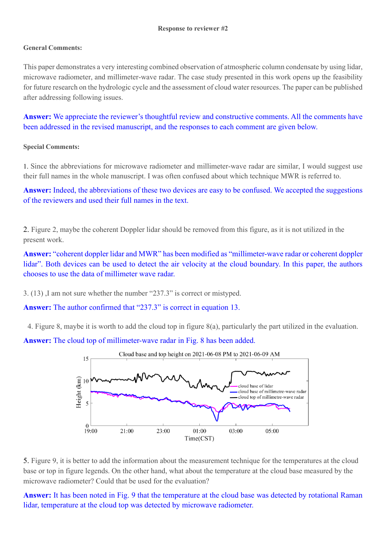## **General Comments:**

This paper demonstrates a very interesting combined observation of atmospheric column condensate by using lidar, microwave radiometer, and millimeter-wave radar. The case study presented in this work opens up the feasibility for future research on the hydrologic cycle and the assessment of cloud water resources. The paper can be published after addressing following issues.

Answer: We appreciate the reviewer's thoughtful review and constructive comments. All the comments have been addressed in the revised manuscript, and the responses to each comment are given below.

## **Special Comments:**

1. Since the abbreviations for microwave radiometer and millimeter-wave radar are similar, I would suggest use their full names in the whole manuscript. I was often confused about which technique MWR is referred to.

**Answer:** Indeed, the abbreviations of these two devices are easy to be confused. We accepted the suggestions of the reviewers and used their full names in the text.

2. Figure 2, maybe the coherent Doppler lidar should be removed from this figure, as it is not utilized in the present work.

**Answer:** "coherent doppler lidar and MWR" has been modified as "millimeter-wave radar or coherent doppler lidar". Both devices can be used to detect the air velocity at the cloud boundary. In this paper, the authors chooses to use the data of millimeter wave radar.

3. (13) ,I am not sure whether the number "237.3" is correct or mistyped.

**Answer:** The author confirmed that "237.3" is correct in equation 13.

4. Figure 8, maybe it is worth to add the cloud top in figure 8(a), particularly the part utilized in the evaluation.

**Answer:** The cloud top of millimeter-wave radar in Fig. 8 has been added.





**Answer:** It has been noted in Fig. 9 that the temperature at the cloud base was detected by rotational Raman lidar, temperature at the cloud top was detected by microwave radiometer.